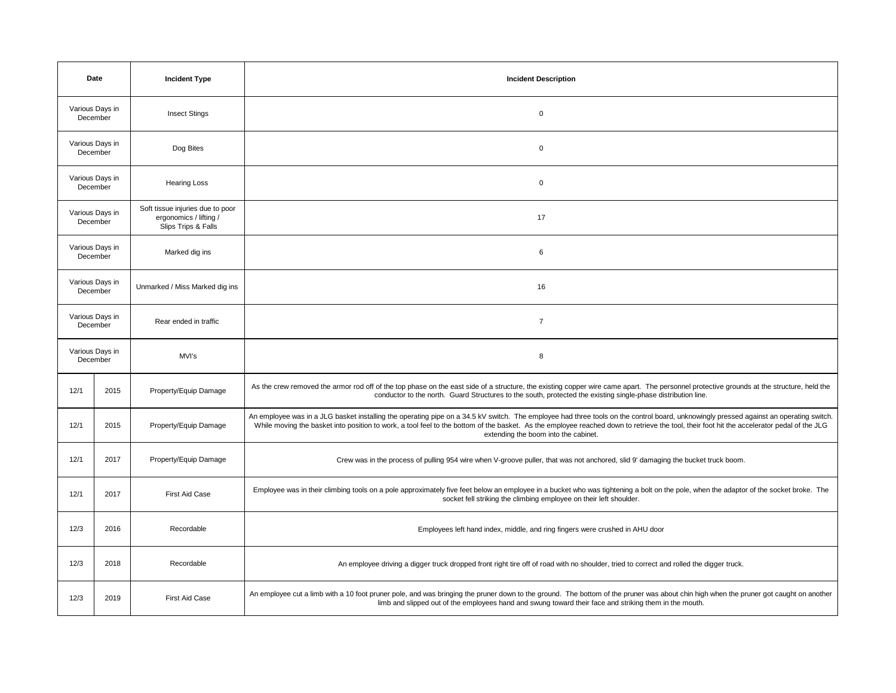| Date                        |                             | <b>Incident Type</b>                                                              | <b>Incident Description</b>                                                                                                                                                                                                                                                                                                                                                                                                  |
|-----------------------------|-----------------------------|-----------------------------------------------------------------------------------|------------------------------------------------------------------------------------------------------------------------------------------------------------------------------------------------------------------------------------------------------------------------------------------------------------------------------------------------------------------------------------------------------------------------------|
| Various Days in<br>December |                             | <b>Insect Stings</b>                                                              | $\mathbf 0$                                                                                                                                                                                                                                                                                                                                                                                                                  |
| Various Days in<br>December |                             | Dog Bites                                                                         | $\mathbf 0$                                                                                                                                                                                                                                                                                                                                                                                                                  |
| Various Days in<br>December |                             | <b>Hearing Loss</b>                                                               | $\mathsf 0$                                                                                                                                                                                                                                                                                                                                                                                                                  |
| Various Days in<br>December |                             | Soft tissue injuries due to poor<br>ergonomics / lifting /<br>Slips Trips & Falls | 17                                                                                                                                                                                                                                                                                                                                                                                                                           |
|                             | Various Days in<br>December | Marked dig ins                                                                    | 6                                                                                                                                                                                                                                                                                                                                                                                                                            |
| Various Days in<br>December |                             | Unmarked / Miss Marked dig ins                                                    | 16                                                                                                                                                                                                                                                                                                                                                                                                                           |
| Various Days in<br>December |                             | Rear ended in traffic                                                             | $\overline{7}$                                                                                                                                                                                                                                                                                                                                                                                                               |
| Various Days in<br>December |                             | MVI's                                                                             | 8                                                                                                                                                                                                                                                                                                                                                                                                                            |
| 12/1                        | 2015                        | Property/Equip Damage                                                             | As the crew removed the armor rod off of the top phase on the east side of a structure, the existing copper wire came apart. The personnel protective grounds at the structure, held the<br>conductor to the north. Guard Structures to the south, protected the existing single-phase distribution line.                                                                                                                    |
| 12/1                        | 2015                        | Property/Equip Damage                                                             | An employee was in a JLG basket installing the operating pipe on a 34.5 kV switch. The employee had three tools on the control board, unknowingly pressed against an operating switch.<br>While moving the basket into position to work, a tool feel to the bottom of the basket. As the employee reached down to retrieve the tool, their foot hit the accelerator pedal of the JLG<br>extending the boom into the cabinet. |
| 12/1                        | 2017                        | Property/Equip Damage                                                             | Crew was in the process of pulling 954 wire when V-groove puller, that was not anchored, slid 9' damaging the bucket truck boom.                                                                                                                                                                                                                                                                                             |
| 12/1                        | 2017                        | First Aid Case                                                                    | Employee was in their climbing tools on a pole approximately five feet below an employee in a bucket who was tightening a bolt on the pole, when the adaptor of the socket broke. The<br>socket fell striking the climbing employee on their left shoulder.                                                                                                                                                                  |
| 12/3                        | 2016                        | Recordable                                                                        | Employees left hand index, middle, and ring fingers were crushed in AHU door                                                                                                                                                                                                                                                                                                                                                 |
| 12/3                        | 2018                        | Recordable                                                                        | An employee driving a digger truck dropped front right tire off of road with no shoulder, tried to correct and rolled the digger truck.                                                                                                                                                                                                                                                                                      |
| 12/3                        | 2019                        | First Aid Case                                                                    | An employee cut a limb with a 10 foot pruner pole, and was bringing the pruner down to the ground. The bottom of the pruner was about chin high when the pruner got caught on another<br>limb and slipped out of the employees hand and swung toward their face and striking them in the mouth.                                                                                                                              |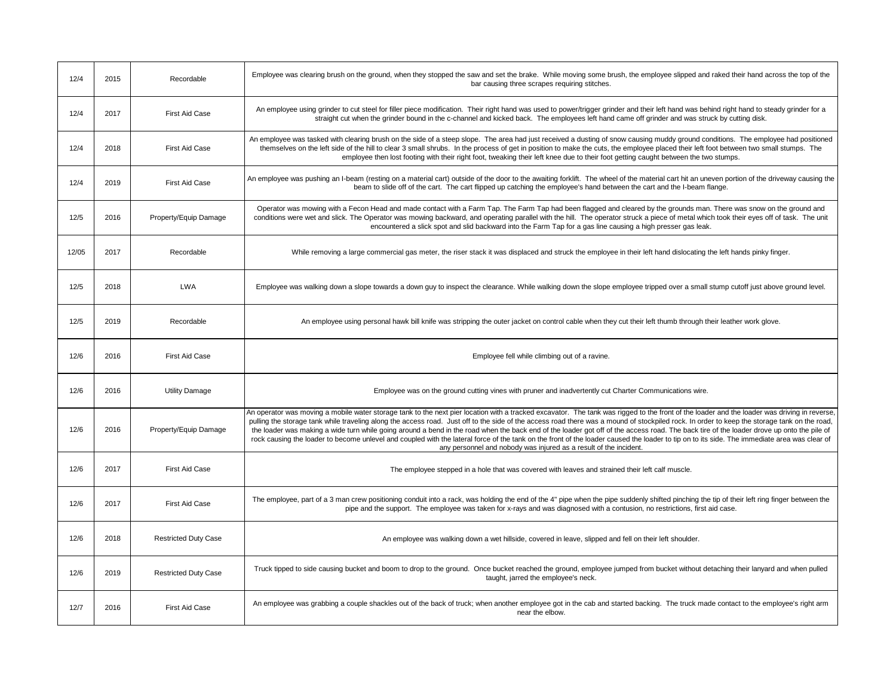| 12/4  | 2015 | Recordable                  | Employee was clearing brush on the ground, when they stopped the saw and set the brake. While moving some brush, the employee slipped and raked their hand across the top of the<br>bar causing three scrapes requiring stitches.                                                                                                                                                                                                                                                                                                                                                                                                                                                                                                                                                                                                                              |
|-------|------|-----------------------------|----------------------------------------------------------------------------------------------------------------------------------------------------------------------------------------------------------------------------------------------------------------------------------------------------------------------------------------------------------------------------------------------------------------------------------------------------------------------------------------------------------------------------------------------------------------------------------------------------------------------------------------------------------------------------------------------------------------------------------------------------------------------------------------------------------------------------------------------------------------|
| 12/4  | 2017 | <b>First Aid Case</b>       | An employee using grinder to cut steel for filler piece modification. Their right hand was used to power/trigger grinder and their left hand was behind right hand to steady grinder for a<br>straight cut when the grinder bound in the c-channel and kicked back. The employees left hand came off grinder and was struck by cutting disk.                                                                                                                                                                                                                                                                                                                                                                                                                                                                                                                   |
| 12/4  | 2018 | <b>First Aid Case</b>       | An employee was tasked with clearing brush on the side of a steep slope. The area had just received a dusting of snow causing muddy ground conditions. The employee had positioned<br>themselves on the left side of the hill to clear 3 small shrubs. In the process of get in position to make the cuts, the employee placed their left foot between two small stumps. The<br>employee then lost footing with their right foot, tweaking their left knee due to their foot getting caught between the two stumps.                                                                                                                                                                                                                                                                                                                                            |
| 12/4  | 2019 | <b>First Aid Case</b>       | An employee was pushing an I-beam (resting on a material cart) outside of the door to the awaiting forklift. The wheel of the material cart hit an uneven portion of the driveway causing the<br>beam to slide off of the cart. The cart flipped up catching the employee's hand between the cart and the I-beam flange.                                                                                                                                                                                                                                                                                                                                                                                                                                                                                                                                       |
| 12/5  | 2016 | Property/Equip Damage       | Operator was mowing with a Fecon Head and made contact with a Farm Tap. The Farm Tap had been flagged and cleared by the grounds man. There was snow on the ground and<br>conditions were wet and slick. The Operator was mowing backward, and operating parallel with the hill. The operator struck a piece of metal which took their eyes off of task. The unit<br>encountered a slick spot and slid backward into the Farm Tap for a gas line causing a high presser gas leak.                                                                                                                                                                                                                                                                                                                                                                              |
| 12/05 | 2017 | Recordable                  | While removing a large commercial gas meter, the riser stack it was displaced and struck the employee in their left hand dislocating the left hands pinky finger.                                                                                                                                                                                                                                                                                                                                                                                                                                                                                                                                                                                                                                                                                              |
| 12/5  | 2018 | <b>LWA</b>                  | Employee was walking down a slope towards a down guy to inspect the clearance. While walking down the slope employee tripped over a small stump cutoff just above ground level.                                                                                                                                                                                                                                                                                                                                                                                                                                                                                                                                                                                                                                                                                |
| 12/5  | 2019 | Recordable                  | An employee using personal hawk bill knife was stripping the outer jacket on control cable when they cut their left thumb through their leather work glove.                                                                                                                                                                                                                                                                                                                                                                                                                                                                                                                                                                                                                                                                                                    |
|       |      |                             |                                                                                                                                                                                                                                                                                                                                                                                                                                                                                                                                                                                                                                                                                                                                                                                                                                                                |
| 12/6  | 2016 | <b>First Aid Case</b>       | Employee fell while climbing out of a ravine.                                                                                                                                                                                                                                                                                                                                                                                                                                                                                                                                                                                                                                                                                                                                                                                                                  |
| 12/6  | 2016 | <b>Utility Damage</b>       | Employee was on the ground cutting vines with pruner and inadvertently cut Charter Communications wire.                                                                                                                                                                                                                                                                                                                                                                                                                                                                                                                                                                                                                                                                                                                                                        |
| 12/6  | 2016 | Property/Equip Damage       | An operator was moving a mobile water storage tank to the next pier location with a tracked excavator. The tank was rigged to the front of the loader and the loader was driving in reverse,<br>pulling the storage tank while traveling along the access road. Just off to the side of the access road there was a mound of stockpiled rock. In order to keep the storage tank on the road,<br>the loader was making a wide turn while going around a bend in the road when the back end of the loader got off of the access road. The back tire of the loader drove up onto the pile of<br>rock causing the loader to become unlevel and coupled with the lateral force of the tank on the front of the loader caused the loader to tip on to its side. The immediate area was clear of<br>any personnel and nobody was injured as a result of the incident. |
| 12/6  | 2017 | First Aid Case              | The employee stepped in a hole that was covered with leaves and strained their left calf muscle.                                                                                                                                                                                                                                                                                                                                                                                                                                                                                                                                                                                                                                                                                                                                                               |
| 12/6  | 2017 | <b>First Aid Case</b>       | The employee, part of a 3 man crew positioning conduit into a rack, was holding the end of the 4" pipe when the pipe suddenly shifted pinching the tip of their left ring finger between the<br>pipe and the support. The employee was taken for x-rays and was diagnosed with a contusion, no restrictions, first aid case.                                                                                                                                                                                                                                                                                                                                                                                                                                                                                                                                   |
| 12/6  | 2018 | <b>Restricted Duty Case</b> | An employee was walking down a wet hillside, covered in leave, slipped and fell on their left shoulder.                                                                                                                                                                                                                                                                                                                                                                                                                                                                                                                                                                                                                                                                                                                                                        |
| 12/6  | 2019 | <b>Restricted Duty Case</b> | Truck tipped to side causing bucket and boom to drop to the ground. Once bucket reached the ground, employee jumped from bucket without detaching their lanyard and when pulled<br>taught, jarred the employee's neck.                                                                                                                                                                                                                                                                                                                                                                                                                                                                                                                                                                                                                                         |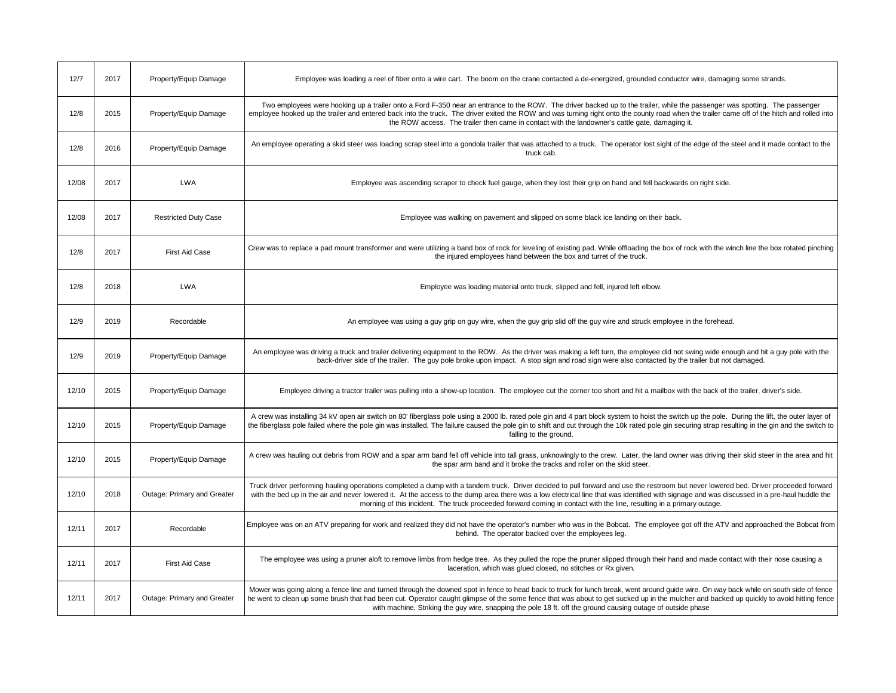| 12/7  | 2017 | Property/Equip Damage       | Employee was loading a reel of fiber onto a wire cart. The boom on the crane contacted a de-energized, grounded conductor wire, damaging some strands.                                                                                                                                                                                                                                                                                                                                                       |
|-------|------|-----------------------------|--------------------------------------------------------------------------------------------------------------------------------------------------------------------------------------------------------------------------------------------------------------------------------------------------------------------------------------------------------------------------------------------------------------------------------------------------------------------------------------------------------------|
| 12/8  | 2015 | Property/Equip Damage       | Two employees were hooking up a trailer onto a Ford F-350 near an entrance to the ROW. The driver backed up to the trailer, while the passenger was spotting. The passenger<br>employee hooked up the trailer and entered back into the truck. The driver exited the ROW and was turning right onto the county road when the trailer came off of the hitch and rolled into<br>the ROW access. The trailer then came in contact with the landowner's cattle gate, damaging it.                                |
| 12/8  | 2016 | Property/Equip Damage       | An employee operating a skid steer was loading scrap steel into a gondola trailer that was attached to a truck. The operator lost sight of the edge of the steel and it made contact to the<br>truck cab.                                                                                                                                                                                                                                                                                                    |
| 12/08 | 2017 | <b>LWA</b>                  | Employee was ascending scraper to check fuel gauge, when they lost their grip on hand and fell backwards on right side.                                                                                                                                                                                                                                                                                                                                                                                      |
| 12/08 | 2017 | <b>Restricted Duty Case</b> | Employee was walking on pavement and slipped on some black ice landing on their back.                                                                                                                                                                                                                                                                                                                                                                                                                        |
| 12/8  | 2017 | <b>First Aid Case</b>       | Crew was to replace a pad mount transformer and were utilizing a band box of rock for leveling of existing pad. While offloading the box of rock with the winch line the box rotated pinching<br>the injured employees hand between the box and turret of the truck.                                                                                                                                                                                                                                         |
| 12/8  | 2018 | <b>LWA</b>                  | Employee was loading material onto truck, slipped and fell, injured left elbow.                                                                                                                                                                                                                                                                                                                                                                                                                              |
| 12/9  | 2019 | Recordable                  | An employee was using a guy grip on guy wire, when the guy grip slid off the guy wire and struck employee in the forehead.                                                                                                                                                                                                                                                                                                                                                                                   |
| 12/9  | 2019 | Property/Equip Damage       | An employee was driving a truck and trailer delivering equipment to the ROW. As the driver was making a left turn, the employee did not swing wide enough and hit a guy pole with the<br>back-driver side of the trailer. The guy pole broke upon impact. A stop sign and road sign were also contacted by the trailer but not damaged.                                                                                                                                                                      |
| 12/10 | 2015 | Property/Equip Damage       | Employee driving a tractor trailer was pulling into a show-up location. The employee cut the corner too short and hit a mailbox with the back of the trailer, driver's side.                                                                                                                                                                                                                                                                                                                                 |
| 12/10 | 2015 | Property/Equip Damage       | A crew was installing 34 kV open air switch on 80' fiberglass pole using a 2000 lb. rated pole gin and 4 part block system to hoist the switch up the pole. During the lift, the outer layer of<br>the fiberglass pole failed where the pole gin was installed. The failure caused the pole gin to shift and cut through the 10k rated pole gin securing strap resulting in the gin and the switch to<br>falling to the ground.                                                                              |
| 12/10 | 2015 | Property/Equip Damage       | A crew was hauling out debris from ROW and a spar arm band fell off vehicle into tall grass, unknowingly to the crew. Later, the land owner was driving their skid steer in the area and hit<br>the spar arm band and it broke the tracks and roller on the skid steer.                                                                                                                                                                                                                                      |
| 12/10 | 2018 | Outage: Primary and Greater | Truck driver performing hauling operations completed a dump with a tandem truck. Driver decided to pull forward and use the restroom but never lowered bed. Driver proceeded forward<br>with the bed up in the air and never lowered it. At the access to the dump area there was a low electrical line that was identified with signage and was discussed in a pre-haul huddle the<br>morning of this incident. The truck proceeded forward coming in contact with the line, resulting in a primary outage. |
| 12/11 | 2017 | Recordable                  | Employee was on an ATV preparing for work and realized they did not have the operator's number who was in the Bobcat. The employee got off the ATV and approached the Bobcat from<br>behind. The operator backed over the employees leg.                                                                                                                                                                                                                                                                     |
| 12/11 | 2017 | <b>First Aid Case</b>       | The employee was using a pruner aloft to remove limbs from hedge tree. As they pulled the rope the pruner slipped through their hand and made contact with their nose causing a<br>laceration, which was glued closed, no stitches or Rx given.                                                                                                                                                                                                                                                              |
| 12/11 | 2017 | Outage: Primary and Greater | Mower was going along a fence line and turned through the downed spot in fence to head back to truck for lunch break, went around guide wire. On way back while on south side of fence<br>he went to clean up some brush that had been cut. Operator caught glimpse of the some fence that was about to get sucked up in the mulcher and backed up quickly to avoid hitting fence<br>with machine, Striking the guy wire, snapping the pole 18 ft. off the ground causing outage of outside phase            |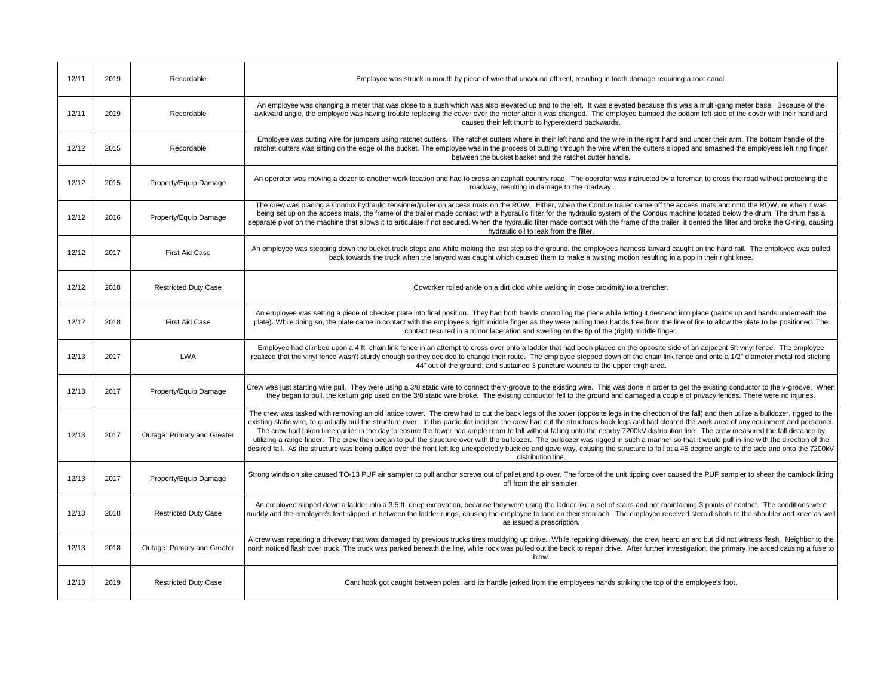| 12/11 | 2019 | Recordable                  | Employee was struck in mouth by piece of wire that unwound off reel, resulting in tooth damage requiring a root canal.                                                                                                                                                                                                                                                                                                                                                                                                                                                                                                                                                                                                                                                                                                                                                                                                                                                                                                |
|-------|------|-----------------------------|-----------------------------------------------------------------------------------------------------------------------------------------------------------------------------------------------------------------------------------------------------------------------------------------------------------------------------------------------------------------------------------------------------------------------------------------------------------------------------------------------------------------------------------------------------------------------------------------------------------------------------------------------------------------------------------------------------------------------------------------------------------------------------------------------------------------------------------------------------------------------------------------------------------------------------------------------------------------------------------------------------------------------|
| 12/11 | 2019 | Recordable                  | An employee was changing a meter that was close to a bush which was also elevated up and to the left. It was elevated because this was a multi-gang meter base. Because of the<br>awkward angle, the employee was having trouble replacing the cover over the meter after it was changed. The employee bumped the bottom left side of the cover with their hand and<br>caused their left thumb to hyperextend backwards.                                                                                                                                                                                                                                                                                                                                                                                                                                                                                                                                                                                              |
| 12/12 | 2015 | Recordable                  | Employee was cutting wire for jumpers using ratchet cutters. The ratchet cutters where in their left hand and the wire in the right hand and under their arm. The bottom handle of the<br>ratchet cutters was sitting on the edge of the bucket. The employee was in the process of cutting through the wire when the cutters slipped and smashed the employees left ring finger<br>between the bucket basket and the ratchet cutter handle.                                                                                                                                                                                                                                                                                                                                                                                                                                                                                                                                                                          |
| 12/12 | 2015 | Property/Equip Damage       | An operator was moving a dozer to another work location and had to cross an asphalt country road. The operator was instructed by a foreman to cross the road without protecting the<br>roadway, resulting in damage to the roadway.                                                                                                                                                                                                                                                                                                                                                                                                                                                                                                                                                                                                                                                                                                                                                                                   |
| 12/12 | 2016 | Property/Equip Damage       | The crew was placing a Condux hydraulic tensioner/puller on access mats on the ROW. Either, when the Condux trailer came off the access mats and onto the ROW, or when it was<br>being set up on the access mats, the frame of the trailer made contact with a hydraulic filter for the hydraulic system of the Condux machine located below the drum. The drum has a<br>separate pivot on the machine that allows it to articulate if not secured. When the hydraulic filter made contact with the frame of the trailer, it dented the filter and broke the O-ring, causing<br>hydraulic oil to leak from the filter.                                                                                                                                                                                                                                                                                                                                                                                                |
| 12/12 | 2017 | First Aid Case              | An employee was stepping down the bucket truck steps and while making the last step to the ground, the employees harness lanyard caught on the hand rail. The employee was pulled<br>back towards the truck when the lanyard was caught which caused them to make a twisting motion resulting in a pop in their right knee.                                                                                                                                                                                                                                                                                                                                                                                                                                                                                                                                                                                                                                                                                           |
| 12/12 | 2018 | <b>Restricted Duty Case</b> | Coworker rolled ankle on a dirt clod while walking in close proximity to a trencher.                                                                                                                                                                                                                                                                                                                                                                                                                                                                                                                                                                                                                                                                                                                                                                                                                                                                                                                                  |
| 12/12 | 2018 | First Aid Case              | An employee was setting a piece of checker plate into final position. They had both hands controlling the piece while letting it descend into place (palms up and hands underneath the<br>plate). While doing so, the plate came in contact with the employee's right middle finger as they were pulling their hands free from the line of fire to allow the plate to be positioned. The<br>contact resulted in a minor laceration and swelling on the tip of the (right) middle finger.                                                                                                                                                                                                                                                                                                                                                                                                                                                                                                                              |
| 12/13 | 2017 | <b>LWA</b>                  | Employee had climbed upon a 4 ft. chain link fence in an attempt to cross over onto a ladder that had been placed on the opposite side of an adjacent 5ft vinyl fence. The employee<br>realized that the vinyl fence wasn't sturdy enough so they decided to change their route. The employee stepped down off the chain link fence and onto a 1/2" diameter metal rod sticking<br>44" out of the ground; and sustained 3 puncture wounds to the upper thigh area.                                                                                                                                                                                                                                                                                                                                                                                                                                                                                                                                                    |
| 12/13 | 2017 | Property/Equip Damage       | Crew was just starting wire pull. They were using a 3/8 static wire to connect the v-groove to the existing wire. This was done in order to get the existing conductor to the v-groove. When<br>they began to pull, the kellum grip used on the 3/8 static wire broke. The existing conductor fell to the ground and damaged a couple of privacy fences. There were no injuries.                                                                                                                                                                                                                                                                                                                                                                                                                                                                                                                                                                                                                                      |
| 12/13 | 2017 | Outage: Primary and Greater | The crew was tasked with removing an old lattice tower. The crew had to cut the back legs of the tower (opposite legs in the direction of the fall) and then utilize a bulldozer, rigged to the<br>existing static wire, to gradually pull the structure over. In this particular incident the crew had cut the structures back legs and had cleared the work area of any equipment and personnel.<br>The crew had taken time earlier in the day to ensure the tower had ample room to fall without falling onto the nearby 7200kV distribution line. The crew measured the fall distance by<br>utilizing a range finder. The crew then began to pull the structure over with the bulldozer. The bulldozer was rigged in such a manner so that it would pull in-line with the direction of the<br>desired fall. As the structure was being pulled over the front left leg unexpectedly buckled and gave way, causing the structure to fall at a 45 degree angle to the side and onto the 7200kV<br>distribution line. |
| 12/13 | 2017 | Property/Equip Damage       | Strong winds on site caused TO-13 PUF air sampler to pull anchor screws out of pallet and tip over. The force of the unit tipping over caused the PUF sampler to shear the camlock fitting<br>off from the air sampler.                                                                                                                                                                                                                                                                                                                                                                                                                                                                                                                                                                                                                                                                                                                                                                                               |
| 12/13 | 2018 | <b>Restricted Duty Case</b> | An employee slipped down a ladder into a 3.5 ft. deep excavation, because they were using the ladder like a set of stairs and not maintaining 3 points of contact. The conditions were<br>muddy and the employee's feet slipped in between the ladder rungs, causing the employee to land on their stomach. The employee received steroid shots to the shoulder and knee as well<br>as issued a prescription.                                                                                                                                                                                                                                                                                                                                                                                                                                                                                                                                                                                                         |
| 12/13 | 2018 | Outage: Primary and Greater | A crew was repairing a driveway that was damaged by previous trucks tires muddying up drive. While repairing driveway, the crew heard an arc but did not witness flash. Neighbor to the<br>north noticed flash over truck. The truck was parked beneath the line, while rock was pulled out the back to repair drive. After further investigation, the primary line arced causing a fuse to<br>blow.                                                                                                                                                                                                                                                                                                                                                                                                                                                                                                                                                                                                                  |
| 12/13 | 2019 | <b>Restricted Duty Case</b> | Cant hook got caught between poles, and its handle jerked from the employees hands striking the top of the employee's foot.                                                                                                                                                                                                                                                                                                                                                                                                                                                                                                                                                                                                                                                                                                                                                                                                                                                                                           |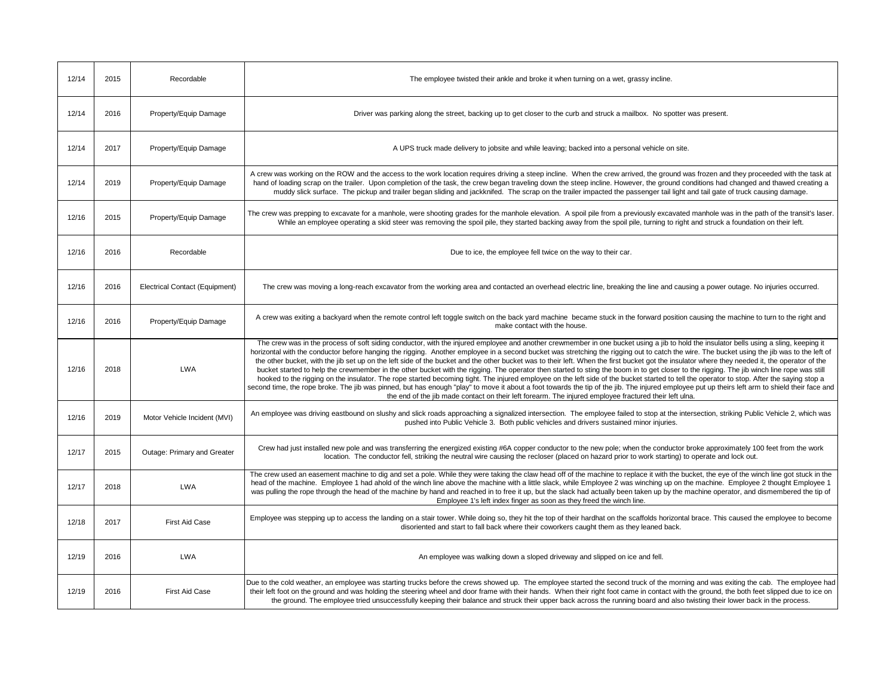| 12/14 | 2015 | Recordable                     | The employee twisted their ankle and broke it when turning on a wet, grassy incline.                                                                                                                                                                                                                                                                                                                                                                                                                                                                                                                                                                                                                                                                                                                                                                                                                                                                                                                                                                                                                                                                                                                                                                                                             |
|-------|------|--------------------------------|--------------------------------------------------------------------------------------------------------------------------------------------------------------------------------------------------------------------------------------------------------------------------------------------------------------------------------------------------------------------------------------------------------------------------------------------------------------------------------------------------------------------------------------------------------------------------------------------------------------------------------------------------------------------------------------------------------------------------------------------------------------------------------------------------------------------------------------------------------------------------------------------------------------------------------------------------------------------------------------------------------------------------------------------------------------------------------------------------------------------------------------------------------------------------------------------------------------------------------------------------------------------------------------------------|
| 12/14 | 2016 | Property/Equip Damage          | Driver was parking along the street, backing up to get closer to the curb and struck a mailbox. No spotter was present.                                                                                                                                                                                                                                                                                                                                                                                                                                                                                                                                                                                                                                                                                                                                                                                                                                                                                                                                                                                                                                                                                                                                                                          |
| 12/14 | 2017 | Property/Equip Damage          | A UPS truck made delivery to jobsite and while leaving; backed into a personal vehicle on site.                                                                                                                                                                                                                                                                                                                                                                                                                                                                                                                                                                                                                                                                                                                                                                                                                                                                                                                                                                                                                                                                                                                                                                                                  |
| 12/14 | 2019 | Property/Equip Damage          | A crew was working on the ROW and the access to the work location requires driving a steep incline. When the crew arrived, the ground was frozen and they proceeded with the task at<br>hand of loading scrap on the trailer. Upon completion of the task, the crew began traveling down the steep incline. However, the ground conditions had changed and thawed creating a<br>muddy slick surface. The pickup and trailer began sliding and jackknifed. The scrap on the trailer impacted the passenger tail light and tail gate of truck causing damage.                                                                                                                                                                                                                                                                                                                                                                                                                                                                                                                                                                                                                                                                                                                                      |
| 12/16 | 2015 | Property/Equip Damage          | The crew was prepping to excavate for a manhole, were shooting grades for the manhole elevation. A spoil pile from a previously excavated manhole was in the path of the transit's laser.<br>While an employee operating a skid steer was removing the spoil pile, they started backing away from the spoil pile, turning to right and struck a foundation on their left.                                                                                                                                                                                                                                                                                                                                                                                                                                                                                                                                                                                                                                                                                                                                                                                                                                                                                                                        |
| 12/16 | 2016 | Recordable                     | Due to ice, the employee fell twice on the way to their car.                                                                                                                                                                                                                                                                                                                                                                                                                                                                                                                                                                                                                                                                                                                                                                                                                                                                                                                                                                                                                                                                                                                                                                                                                                     |
| 12/16 | 2016 | Electrical Contact (Equipment) | The crew was moving a long-reach excavator from the working area and contacted an overhead electric line, breaking the line and causing a power outage. No injuries occurred.                                                                                                                                                                                                                                                                                                                                                                                                                                                                                                                                                                                                                                                                                                                                                                                                                                                                                                                                                                                                                                                                                                                    |
| 12/16 | 2016 | Property/Equip Damage          | A crew was exiting a backyard when the remote control left toggle switch on the back yard machine became stuck in the forward position causing the machine to turn to the right and<br>make contact with the house.                                                                                                                                                                                                                                                                                                                                                                                                                                                                                                                                                                                                                                                                                                                                                                                                                                                                                                                                                                                                                                                                              |
| 12/16 | 2018 | <b>LWA</b>                     | The crew was in the process of soft siding conductor, with the injured employee and another crewmember in one bucket using a jib to hold the insulator bells using a sling, keeping it<br>horizontal with the conductor before hanging the rigging. Another employee in a second bucket was stretching the rigging out to catch the wire. The bucket using the jib was to the left of<br>the other bucket, with the jib set up on the left side of the bucket and the other bucket was to their left. When the first bucket got the insulator where they needed it, the operator of the<br>bucket started to help the crewmember in the other bucket with the rigging. The operator then started to sting the boom in to get closer to the rigging. The jib winch line rope was still<br>hooked to the rigging on the insulator. The rope started becoming tight. The injured employee on the left side of the bucket started to tell the operator to stop. After the saying stop a<br>second time, the rope broke. The jib was pinned, but has enough "play" to move it about a foot towards the tip of the jib. The injured employee put up theirs left arm to shield their face and<br>the end of the jib made contact on their left forearm. The injured employee fractured their left ulna. |
| 12/16 | 2019 | Motor Vehicle Incident (MVI)   | An employee was driving eastbound on slushy and slick roads approaching a signalized intersection. The employee failed to stop at the intersection, striking Public Vehicle 2, which was<br>pushed into Public Vehicle 3. Both public vehicles and drivers sustained minor injuries.                                                                                                                                                                                                                                                                                                                                                                                                                                                                                                                                                                                                                                                                                                                                                                                                                                                                                                                                                                                                             |
| 12/17 | 2015 | Outage: Primary and Greater    | Crew had just installed new pole and was transferring the energized existing #6A copper conductor to the new pole; when the conductor broke approximately 100 feet from the work<br>location. The conductor fell, striking the neutral wire causing the recloser (placed on hazard prior to work starting) to operate and lock out.                                                                                                                                                                                                                                                                                                                                                                                                                                                                                                                                                                                                                                                                                                                                                                                                                                                                                                                                                              |
| 12/17 | 2018 | <b>LWA</b>                     | The crew used an easement machine to dig and set a pole. While they were taking the claw head off of the machine to replace it with the bucket, the eye of the winch line got stuck in the<br>head of the machine. Employee 1 had ahold of the winch line above the machine with a little slack, while Employee 2 was winching up on the machine. Employee 2 thought Employee 1<br>was pulling the rope through the head of the machine by hand and reached in to free it up, but the slack had actually been taken up by the machine operator, and dismembered the tip of<br>Employee 1's left index finger as soon as they freed the winch line.                                                                                                                                                                                                                                                                                                                                                                                                                                                                                                                                                                                                                                               |
| 12/18 | 2017 | <b>First Aid Case</b>          | Employee was stepping up to access the landing on a stair tower. While doing so, they hit the top of their hardhat on the scaffolds horizontal brace. This caused the employee to become<br>disoriented and start to fall back where their coworkers caught them as they leaned back.                                                                                                                                                                                                                                                                                                                                                                                                                                                                                                                                                                                                                                                                                                                                                                                                                                                                                                                                                                                                            |
| 12/19 | 2016 | <b>LWA</b>                     | An employee was walking down a sloped driveway and slipped on ice and fell.                                                                                                                                                                                                                                                                                                                                                                                                                                                                                                                                                                                                                                                                                                                                                                                                                                                                                                                                                                                                                                                                                                                                                                                                                      |
| 12/19 | 2016 | <b>First Aid Case</b>          | Due to the cold weather, an employee was starting trucks before the crews showed up. The employee started the second truck of the morning and was exiting the cab. The employee had<br>their left foot on the ground and was holding the steering wheel and door frame with their hands. When their right foot came in contact with the ground, the both feet slipped due to ice on<br>the ground. The employee tried unsuccessfully keeping their balance and struck their upper back across the running board and also twisting their lower back in the process.                                                                                                                                                                                                                                                                                                                                                                                                                                                                                                                                                                                                                                                                                                                               |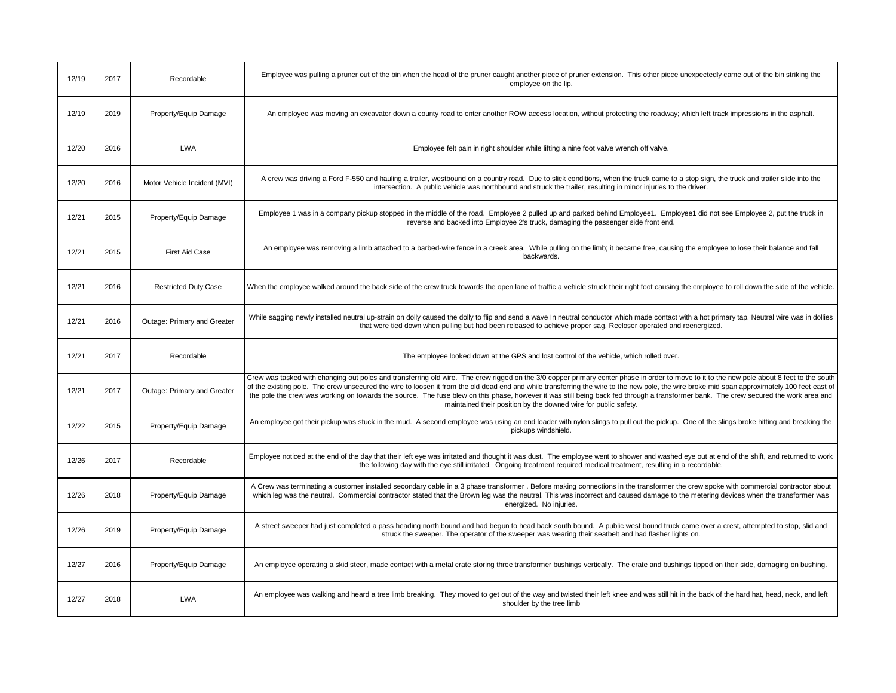| 12/19 | 2017 | Recordable                   | Employee was pulling a pruner out of the bin when the head of the pruner caught another piece of pruner extension. This other piece unexpectedly came out of the bin striking the<br>employee on the lip.                                                                                                                                                                                                                                                                                                                                                                          |
|-------|------|------------------------------|------------------------------------------------------------------------------------------------------------------------------------------------------------------------------------------------------------------------------------------------------------------------------------------------------------------------------------------------------------------------------------------------------------------------------------------------------------------------------------------------------------------------------------------------------------------------------------|
| 12/19 | 2019 | Property/Equip Damage        | An employee was moving an excavator down a county road to enter another ROW access location, without protecting the roadway; which left track impressions in the asphalt.                                                                                                                                                                                                                                                                                                                                                                                                          |
| 12/20 | 2016 | <b>LWA</b>                   | Employee felt pain in right shoulder while lifting a nine foot valve wrench off valve.                                                                                                                                                                                                                                                                                                                                                                                                                                                                                             |
| 12/20 | 2016 | Motor Vehicle Incident (MVI) | A crew was driving a Ford F-550 and hauling a trailer, westbound on a country road. Due to slick conditions, when the truck came to a stop sign, the truck and trailer slide into the<br>intersection. A public vehicle was northbound and struck the trailer, resulting in minor injuries to the driver.                                                                                                                                                                                                                                                                          |
| 12/21 | 2015 | Property/Equip Damage        | Employee 1 was in a company pickup stopped in the middle of the road. Employee 2 pulled up and parked behind Employee1. Employee1 did not see Employee 2, put the truck in<br>reverse and backed into Employee 2's truck, damaging the passenger side front end.                                                                                                                                                                                                                                                                                                                   |
| 12/21 | 2015 | First Aid Case               | An employee was removing a limb attached to a barbed-wire fence in a creek area. While pulling on the limb; it became free, causing the employee to lose their balance and fall<br>backwards.                                                                                                                                                                                                                                                                                                                                                                                      |
| 12/21 | 2016 | <b>Restricted Duty Case</b>  | When the employee walked around the back side of the crew truck towards the open lane of traffic a vehicle struck their right foot causing the employee to roll down the side of the vehicle.                                                                                                                                                                                                                                                                                                                                                                                      |
| 12/21 | 2016 | Outage: Primary and Greater  | While sagging newly installed neutral up-strain on dolly caused the dolly to flip and send a wave In neutral conductor which made contact with a hot primary tap. Neutral wire was in dollies<br>that were tied down when pulling but had been released to achieve proper sag. Recloser operated and reenergized.                                                                                                                                                                                                                                                                  |
| 12/21 | 2017 | Recordable                   | The employee looked down at the GPS and lost control of the vehicle, which rolled over.                                                                                                                                                                                                                                                                                                                                                                                                                                                                                            |
| 12/21 | 2017 | Outage: Primary and Greater  | Crew was tasked with changing out poles and transferring old wire. The crew rigged on the 3/0 copper primary center phase in order to move to it to the new pole about 8 feet to the south<br>of the existing pole. The crew unsecured the wire to loosen it from the old dead end and while transferring the wire to the new pole, the wire broke mid span approximately 100 feet east of<br>the pole the crew was working on towards the source. The fuse blew on this phase, however it was still being back fed through a transformer bank. The crew secured the work area and |
|       |      |                              | maintained their position by the downed wire for public safety.                                                                                                                                                                                                                                                                                                                                                                                                                                                                                                                    |
| 12/22 | 2015 | Property/Equip Damage        | An employee got their pickup was stuck in the mud. A second employee was using an end loader with nylon slings to pull out the pickup. One of the slings broke hitting and breaking the<br>pickups windshield.                                                                                                                                                                                                                                                                                                                                                                     |
| 12/26 | 2017 | Recordable                   | Employee noticed at the end of the day that their left eye was irritated and thought it was dust. The employee went to shower and washed eye out at end of the shift, and returned to work<br>the following day with the eye still irritated. Ongoing treatment required medical treatment, resulting in a recordable.                                                                                                                                                                                                                                                             |
| 12/26 | 2018 | Property/Equip Damage        | A Crew was terminating a customer installed secondary cable in a 3 phase transformer. Before making connections in the transformer the crew spoke with commercial contractor about<br>which leg was the neutral. Commercial contractor stated that the Brown leg was the neutral. This was incorrect and caused damage to the metering devices when the transformer was<br>energized. No injuries.                                                                                                                                                                                 |
| 12/26 | 2019 | Property/Equip Damage        | A street sweeper had just completed a pass heading north bound and had begun to head back south bound. A public west bound truck came over a crest, attempted to stop, slid and<br>struck the sweeper. The operator of the sweeper was wearing their seatbelt and had flasher lights on.                                                                                                                                                                                                                                                                                           |
| 12/27 | 2016 | Property/Equip Damage        | An employee operating a skid steer, made contact with a metal crate storing three transformer bushings vertically. The crate and bushings tipped on their side, damaging on bushing.                                                                                                                                                                                                                                                                                                                                                                                               |